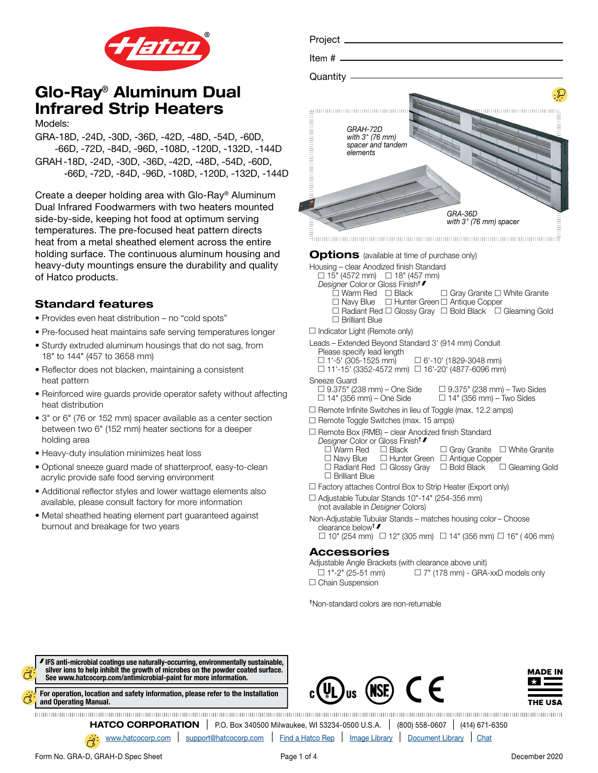

Models:

GRA-18D, -24D, -30D, -36D, -42D, -48D, -54D, -60D, -66D, -72D, -84D, -96D, -108D, -120D, -132D, -144D GRAH-18D, -24D, -30D, -36D, -42D, -48D, -54D, -60D, -66D, -72D, -84D, -96D, -108D, -120D, -132D, -144D

Create a deeper holding area with Glo-Ray® Aluminum Dual Infrared Foodwarmers with two heaters mounted side-by-side, keeping hot food at optimum serving temperatures. The pre-focused heat pattern directs heat from a metal sheathed element across the entire holding surface. The continuous aluminum housing and heavy-duty mountings ensure the durability and quality of Hatco products.

## Standard features

- Provides even heat distribution no "cold spots"
- Pre-focused heat maintains safe serving temperatures longer
- Sturdy extruded aluminum housings that do not sag, from 18" to 144" (457 to 3658 mm)
- Reflector does not blacken, maintaining a consistent heat pattern
- Reinforced wire guards provide operator safety without affecting heat distribution
- 3" or 6" (76 or 152 mm) spacer available as a center section between two 6" (152 mm) heater sections for a deeper holding area
- Heavy-duty insulation minimizes heat loss
- Optional sneeze guard made of shatterproof, easy-to-clean acrylic provide safe food serving environment
- Additional reflector styles and lower wattage elements also available, please consult factory for more information
- Metal sheathed heating element part guaranteed against burnout and breakage for two years

| Project ___                                                  |                                   |
|--------------------------------------------------------------|-----------------------------------|
| Item $#$ $\_\_\_\_\$                                         |                                   |
| Quantity                                                     |                                   |
| GRAH-72D<br>with 3" (76 mm)<br>spacer and tandem<br>elements | GRA-36D<br>with 3" (76 mm) spacer |

**Options** (available at time of purchase only)

Housing – clear Anodized finish Standard

- $\Box$  15" (4572 mm)  $\Box$  18" (457 mm)
- *Designer* Color or Gloss Finish†
	- $\bar{\square}$  Warm Red  $\Box$  Black  $\Box$  Gray Granite  $\Box$  White Granite
	- $\square$  Navy Blue  $\square$  Hunter Green  $\square$  Antique Copper
	- $\Box$  Radiant Red  $\Box$  Glossy Gray  $\Box$  Bold Black  $\Box$  Gleaming Gold  $\Box$  Brilliant Blue
- $\Box$  Indicator Light (Remote only)

Leads – Extended Beyond Standard 3' (914 mm) Conduit

- Please specify lead length  $\square$  1'-5' (305-1525 mm)  $\Box$  6'-10' (1829-3048 mm)
- $\Box$  11'-15' (3352-4572 mm)  $\Box$  16'-20' (4877-6096 mm)

Sneeze Guard<br>  $\Box$  9.375" (238 mm) – One Side

 $\Box$  9.375" (238 mm) – Two Sides  $\Box$  14" (356 mm) – One Side  $\Box$  14" (356 mm) – Two Sides

- $\Box$  Remote Infinite Switches in lieu of Toggle (max. 12.2 amps)
- $\Box$  Remote Toggle Switches (max. 15 amps)
- $\Box$  Remote Box (RMB) clear Anodized finish Standard
	- *Designer* Color or Gloss Finish<sup>†</sup>
		- $\Box$  Black  $\Box$  Gray Granite  $\Box$  White Granite
		- □ Navy Blue □ Hunter Green □ Antique Copper<br>□ Radiant Red □ Glossy Gray □ Bold Black □ Gleaming Gold  $\Box$  Radiant Red  $\Box$  Glossy Gray  $\Box$  Bold Black  $\square$  Brilliant Blue
- $\Box$  Factory attaches Control Box to Strip Heater (Export only)
- $\Box$  Adjustable Tubular Stands 10"-14" (254-356 mm) (not available in *Designer* Colors)
- Non-Adjustable Tubular Stands matches housing color Choose clearance below<sup>†</sup>

 $\Box$  10" (254 mm)  $\Box$  12" (305 mm)  $\Box$  14" (356 mm)  $\Box$  16" (406 mm)

## Accessories

Adjustable Angle Brackets (with clearance above unit)  $\Box$  1"-2" (25-51 mm)  $\Box$  7" (178 mm) - GRA-xxD models only

 $\Box$  Chain Suspension

†Non-standard colors are non-returnable



[For operation, location and safety information, please refer to the Installation](https://www.hatcocorp.com/cms/IOMANUALS/000000002134204-00000-20080516.PDF)  and Operating Manual.



**HATCO CORPORATION** | P.O. Box 340500 Milwaukee, WI 53234-0500 U.S.A. | (800) 558-0607 | (414) 671-6350

[www.hatcocorp.com](https://www.hatcocorp.com/en) | [support@hatcocorp.com](mailto:support%40hatcocorp.com?subject=) | [Find a Hatco Rep](https://www.hatcocorp.com/en/support/find-a-rep) | [Image Library](https://www.hatcocorp.com/en/resources/image-library) | [Document Library](https://www.hatcocorp.com/en/resources/document-library) | [Chat](http://messenger.providesupport.com/messenger/09icew6fjvmk507jd84boe6v2r.html)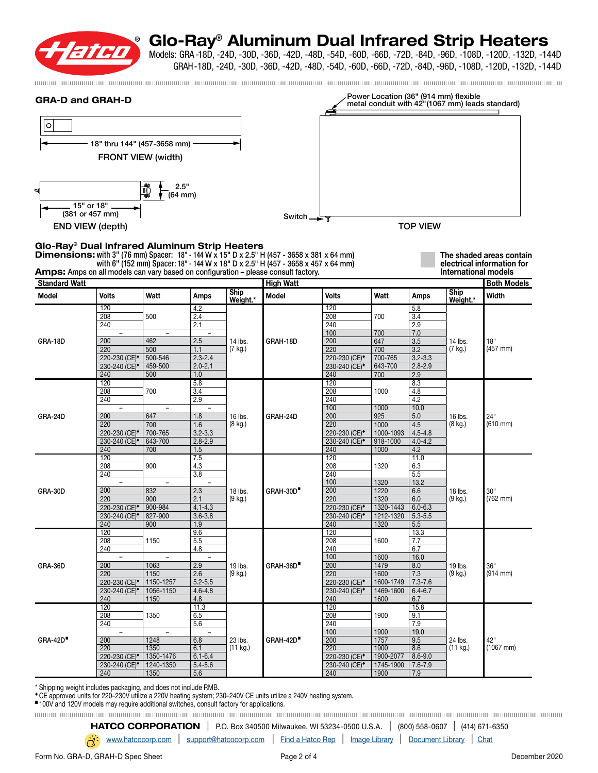

Models: GRA -18D, -24D, -30D, -36D, -42D, -48D, -54D, -60D, -66D, -72D, -84D, -96D, -108D, -120D, -132D, -144D GRAH-18D, -24D, -30D, -36D, -42D, -48D, -54D, -60D, -66D, -72D, -84D, -96D, -108D, -120D, -132D, -144D

| <b>GRA-D and GRAH-D</b>                       |                                                        |                                 |                                 |                     |                                                                                                                                                                                        |                                                        |                   |                    | Power Location (36" (914 mm) flexible | metal conduit with 42"(1067 mm) leads standard)        |
|-----------------------------------------------|--------------------------------------------------------|---------------------------------|---------------------------------|---------------------|----------------------------------------------------------------------------------------------------------------------------------------------------------------------------------------|--------------------------------------------------------|-------------------|--------------------|---------------------------------------|--------------------------------------------------------|
| $\circ$                                       |                                                        |                                 |                                 |                     |                                                                                                                                                                                        |                                                        |                   |                    |                                       |                                                        |
|                                               | 18" thru 144" (457-3658 mm) -                          |                                 |                                 |                     |                                                                                                                                                                                        |                                                        |                   |                    |                                       |                                                        |
|                                               |                                                        |                                 |                                 |                     |                                                                                                                                                                                        |                                                        |                   |                    |                                       |                                                        |
|                                               | <b>FRONT VIEW (width)</b>                              |                                 |                                 |                     |                                                                                                                                                                                        |                                                        |                   |                    |                                       |                                                        |
|                                               |                                                        |                                 |                                 |                     |                                                                                                                                                                                        |                                                        |                   |                    |                                       |                                                        |
| বা                                            |                                                        | 2.5"<br>I<br>(64 mm)            |                                 |                     |                                                                                                                                                                                        |                                                        |                   |                    |                                       |                                                        |
|                                               | 15" or 18"                                             |                                 |                                 |                     |                                                                                                                                                                                        |                                                        |                   |                    |                                       |                                                        |
|                                               | (381 or 457 mm)                                        |                                 |                                 |                     | Switch __ <del>__ T</del>                                                                                                                                                              |                                                        |                   |                    |                                       |                                                        |
|                                               | <b>END VIEW (depth)</b>                                |                                 |                                 |                     |                                                                                                                                                                                        |                                                        |                   | <b>TOP VIEW</b>    |                                       |                                                        |
| Glo-Ray® Dual Infrared Aluminum Strip Heaters |                                                        |                                 |                                 |                     |                                                                                                                                                                                        |                                                        |                   |                    |                                       |                                                        |
|                                               |                                                        |                                 |                                 |                     | <b>Dimensions:</b> with 3" (76 mm) Spacer: 18" - 144 W x 15" D x 2.5" H (457 - 3658 x 381 x 64 mm)<br>with 6" (152 mm) Spacer: 18" - 144 W x 18" D x 2.5" H (457 - 3658 x 457 x 64 mm) |                                                        |                   |                    |                                       | The shaded areas contain<br>electrical information for |
|                                               |                                                        |                                 |                                 |                     | Amps: Amps on all models can vary based on configuration - please consult factory.                                                                                                     |                                                        |                   |                    | International models                  |                                                        |
| <b>Standard Watt</b>                          |                                                        |                                 |                                 | Ship                | <b>High Watt</b>                                                                                                                                                                       |                                                        |                   |                    | Ship                                  | <b>Both Models</b>                                     |
| Model                                         | Volts<br>120                                           | Watt                            | Amps<br>4.2                     | Weight.*            | Model                                                                                                                                                                                  | <b>Volts</b><br>120                                    | Watt              | Amps               | Weight.*                              | Width                                                  |
|                                               | 208                                                    | 500                             | 2.4                             |                     |                                                                                                                                                                                        | 208                                                    | 700               | 5.8<br>3.4         |                                       | 18"                                                    |
|                                               | 240                                                    |                                 | 2.1                             |                     |                                                                                                                                                                                        | 240                                                    |                   | 2.9                |                                       |                                                        |
| GRA-18D                                       | $\overline{\phantom{a}}$<br>200                        | $\overline{\phantom{a}}$<br>462 | $\overline{\phantom{a}}$<br>2.5 | 14 lbs.             | GRAH-18D                                                                                                                                                                               | 100<br>200                                             | 700<br>647        | 7.0<br>3.5         | 14 lbs.                               |                                                        |
|                                               | 220                                                    | 500                             | 1.1                             | (7 kg.)             |                                                                                                                                                                                        | 220                                                    | 700               | 3.2                | (7 kg.)                               | $(457 \, \text{mm})$                                   |
|                                               | 220-230 (CE) <sup>*</sup>                              | 500-546                         | $2.3 - 2.4$                     |                     |                                                                                                                                                                                        | 220-230 (CE) <sup>*</sup>                              | 700-765           | $3.2 - 3.3$        |                                       |                                                        |
|                                               | 230-240 (CE) <sup>*</sup><br>240                       | 459-500<br>500                  | $2.0 - 2.1$<br>1.0              |                     |                                                                                                                                                                                        | 230-240 (CE) <sup>*</sup><br>240                       | 643-700<br>700    | $2.8 - 2.9$<br>2.9 |                                       |                                                        |
|                                               | 120                                                    |                                 | 5.8                             |                     |                                                                                                                                                                                        | 120                                                    |                   | 8.3                |                                       |                                                        |
|                                               | 208                                                    | 700                             | 3.4                             |                     |                                                                                                                                                                                        | 208                                                    | 1000              | 4.8                |                                       | 24"<br>$(610 \, \text{mm})$                            |
|                                               | 240                                                    |                                 | 2.9                             |                     |                                                                                                                                                                                        | 240<br>100                                             | 1000              | 4.2<br>10.0        |                                       |                                                        |
| GRA-24D                                       | 200                                                    | 647                             | 1.8                             | 16 lbs.<br>(8 kg.)  | GRAH-24D                                                                                                                                                                               | 200                                                    | 925               | 5.0                | 16 lbs.                               |                                                        |
|                                               | 220                                                    | 700<br>700-765                  | 1.6<br>$3.2 - 3.3$              |                     |                                                                                                                                                                                        | 220                                                    | 1000<br>1000-1093 | 4.5<br>$4.5 - 4.8$ | (8 kg.)                               |                                                        |
|                                               | 220-230 (CE) <sup>*</sup><br>230-240 (CE) <sup>*</sup> | 643-700                         | $2.8 - 2.9$                     |                     |                                                                                                                                                                                        | 220-230 (CE) <sup>*</sup><br>230-240 (CE) <sup>*</sup> | 918-1000          | $4.0 - 4.2$        |                                       |                                                        |
|                                               | 240                                                    | 700                             | 1.5                             |                     |                                                                                                                                                                                        | 240                                                    | 1000              | 4.2                |                                       |                                                        |
|                                               | 120<br>208                                             | 900                             | 7.5<br>4.3                      |                     | GRAH-30D <sup>®</sup>                                                                                                                                                                  | 120<br>208                                             | 1320              | 11.0<br>6.3        |                                       | 30"<br>$(762$ mm)                                      |
|                                               | 240                                                    |                                 | 3.8                             |                     |                                                                                                                                                                                        | 240                                                    |                   | 5.5                | 18 lbs.<br>(9 kg.)                    |                                                        |
|                                               | $\overline{\phantom{a}}$<br>200                        | $\overline{\phantom{a}}$        | $\overline{\phantom{a}}$        |                     |                                                                                                                                                                                        | 100<br>200                                             | 1320              | 13.2               |                                       |                                                        |
| GRA-30D                                       | 220                                                    | 832<br>900                      | 2.3<br>2.1                      | 18 lbs.<br>(9 kg.)  |                                                                                                                                                                                        | 220                                                    | 1220<br>1320      | 6.6<br>6.0         |                                       |                                                        |
|                                               | 220-230 (CE) <sup>*</sup>                              | 900-984                         | $4.1 - 4.3$                     |                     |                                                                                                                                                                                        | 220-230 (CE) <sup>+</sup>                              | 1320-1443         | $6.0 - 6.3$        |                                       |                                                        |
|                                               | 230-240 (CE) <sup>*</sup><br>240                       | 827-900<br>900                  | $3.6 - 3.8$<br>1.9              |                     |                                                                                                                                                                                        | 230-240 (CE) <sup>*</sup><br>240                       | 1212-1320<br>1320 | $5.3 - 5.5$<br>5.5 |                                       |                                                        |
|                                               | 120                                                    |                                 | 9.6                             |                     |                                                                                                                                                                                        | 120                                                    |                   | 13.3               |                                       |                                                        |
|                                               | 208                                                    | 1150                            | 5.5                             |                     | GRAH-36D <sup>®</sup>                                                                                                                                                                  | 208                                                    | 1600              | 7.7                | 19 lbs.                               | 36"                                                    |
|                                               | 240<br>$\overline{\phantom{a}}$                        |                                 | 4.8<br>$\overline{\phantom{a}}$ |                     |                                                                                                                                                                                        | 240<br>100                                             | 1600              | 6.7<br>16.0        |                                       |                                                        |
| GRA-36D                                       | 200                                                    | 1063                            | 2.9                             | 19 lbs.             |                                                                                                                                                                                        | 200                                                    | 1479              | 8.0                |                                       |                                                        |
|                                               | 220<br>220-230 (CE) <sup>*</sup>                       | 1150<br>1150-1257               | 2.6<br>$5.2 - 5.5$              | $(9$ kg.)           |                                                                                                                                                                                        | 220<br>220-230 (CE) <sup>*</sup>                       | 1600<br>1600-1749 | 7.3<br>$7.3 - 7.6$ | (9 kg.)                               | $(914$ mm $)$                                          |
|                                               | 230-240 (CE) <sup>*</sup>                              | 1056-1150                       | $4.6 - 4.8$                     |                     |                                                                                                                                                                                        | 230-240 (CE) <sup>+</sup>                              | 1469-1600         | $6.4 - 6.7$        |                                       |                                                        |
|                                               | 240                                                    | 1150                            | 4.8                             |                     |                                                                                                                                                                                        | 240                                                    | 1600              | 6.7                |                                       |                                                        |
|                                               | 120<br>208                                             | 1350                            | 11.3<br>6.5                     |                     |                                                                                                                                                                                        | 120<br>208                                             | 1900              | 15.8<br>9.1        |                                       | 42"<br>$(1067$ mm $)$                                  |
|                                               | 240                                                    |                                 | 5.6                             |                     |                                                                                                                                                                                        | 240                                                    |                   | 7.9                |                                       |                                                        |
| $GRA-42D$                                     | $\overline{\phantom{a}}$<br>200                        | 1248                            | $\overline{\phantom{a}}$<br>6.8 |                     | GRAH-42D                                                                                                                                                                               | 100<br>200                                             | 1900<br>1757      | 19.0<br>9.5        | 24 lbs.<br>(11 kg.)                   |                                                        |
|                                               | 220                                                    | 1350                            | 6.1                             | 23 lbs.<br>(11 kg.) |                                                                                                                                                                                        | 220                                                    | 1900              | 8.6                |                                       |                                                        |
|                                               | 220-230 (CE) <sup>*</sup>                              | 1350-1476                       | $6.1 - 6.4$                     |                     |                                                                                                                                                                                        | 220-230 (CE) <sup>*</sup>                              | 1900-2077         | $8.6 - 9.0$        |                                       |                                                        |
|                                               | 230-240 (CE) <sup>*</sup><br>240                       | 1240-1350<br>1350               | $5.4 - 5.6$<br>5.6              |                     |                                                                                                                                                                                        | 230-240 (CE) <sup>*</sup><br>240                       | 1745-1900<br>1900 | $7.6 - 7.9$<br>7.9 |                                       |                                                        |
|                                               |                                                        |                                 |                                 |                     |                                                                                                                                                                                        |                                                        |                   |                    |                                       |                                                        |

\* Shipping weight includes packaging, and does not include RMB. ◆ CE approved units for 220–230V utilize a 220V heating system; 230–240V CE units utilize a 240V heating system.

■ 100V and 120V models may require additional switches, consult factory for applications.

HATCO CORPORATION | P.O. Box 340500 Milwaukee, WI 53234-0500 U.S.A. | (800) 558-0607 | (414) 671-6350

[www.hatcocorp.com](https://www.hatcocorp.com/en) | [support@hatcocorp.com](mailto:support%40hatcocorp.com?subject=) | [Find a Hatco Rep](https://www.hatcocorp.com/en/support/find-a-rep) | [Image Library](https://www.hatcocorp.com/en/resources/image-library) | [Document Library](https://www.hatcocorp.com/en/resources/document-library) | [Chat](http://messenger.providesupport.com/messenger/09icew6fjvmk507jd84boe6v2r.html)

Form No. GRA-D, GRAH-D Spec Sheet **Page 2 of 4** Page 2 of 4 December 2020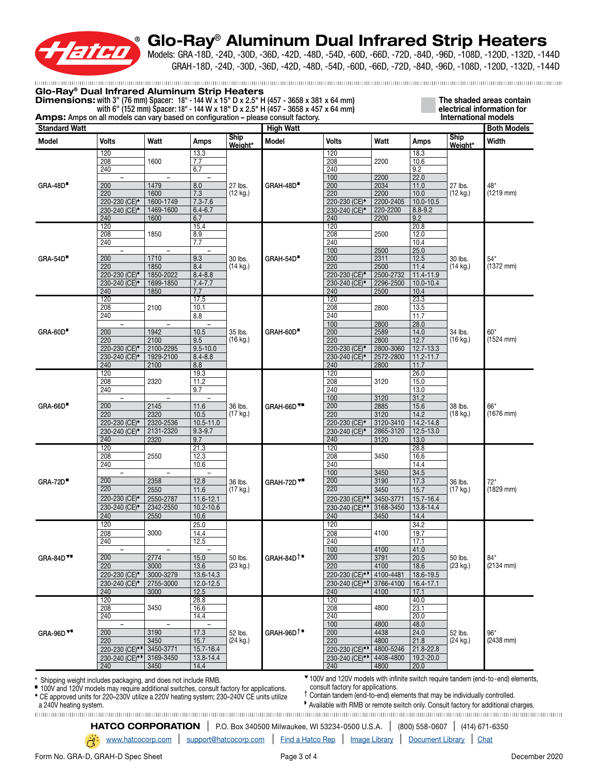

Models: GRA -18D, -24D, -30D, -36D, -42D, -48D, -54D, -60D, -66D, -72D, -84D, -96D, -108D, -120D, -132D, -144D GRAH-18D, -24D, -30D, -36D, -42D, -48D, -54D, -60D, -66D, -72D, -84D, -96D, -108D, -120D, -132D, -144D

| <b>Standard Watt</b><br><b>Model</b> | Volts                      |                          |                          |                               |                       | <b>Amps:</b> Amps on all models can vary based on configuration – please consult factory. |           |               |                               | International models |
|--------------------------------------|----------------------------|--------------------------|--------------------------|-------------------------------|-----------------------|-------------------------------------------------------------------------------------------|-----------|---------------|-------------------------------|----------------------|
|                                      |                            |                          |                          |                               | <b>High Watt</b>      |                                                                                           |           |               |                               | <b>Both Models</b>   |
|                                      |                            | Watt                     |                          | <b>Ship</b>                   | Model                 | <b>Volts</b>                                                                              | Watt      |               | <b>Ship</b>                   | Width                |
|                                      |                            |                          | Amps                     | Weight*                       |                       |                                                                                           |           | <b>Amps</b>   | Weight*                       |                      |
|                                      | 120                        |                          | 13.3                     |                               |                       | 120                                                                                       |           | 18.3          |                               |                      |
|                                      | 208                        | 1600                     | 7.7                      |                               |                       | 208                                                                                       | 2200      | 10.6          |                               |                      |
|                                      | 240                        |                          | 6.7                      | 27 lbs.<br>$(12 \text{ kg.})$ |                       | 240                                                                                       |           | 9.2           | 27 lbs.<br>$(12 \text{ kg.})$ | 48"<br>$(1219$ mm)   |
|                                      |                            |                          |                          |                               |                       | 100                                                                                       | 2200      | 22.0          |                               |                      |
| GRA-48D                              | 200                        | 1479                     | 8.0                      |                               | GRAH-48D <sup>®</sup> | 200                                                                                       | 2034      | 11.0          |                               |                      |
|                                      | 220                        | 1600                     | 7.3                      |                               |                       | 220                                                                                       | 2200      | 10.0          |                               |                      |
|                                      | 220-230 (CE) <sup>*</sup>  | 1600-1749                | $7.3 - 7.6$              |                               |                       | 220-230 (CE) <sup>*</sup>                                                                 | 2200-2405 | $10.0 - 10.5$ |                               |                      |
|                                      | 230-240 (CE) <sup>*</sup>  | 1469-1600                | $6.4 - 6.7$              |                               |                       | 230-240 (CE) <sup>*</sup>                                                                 | 220-2200  | $8.8 - 9.2$   |                               |                      |
|                                      | 240                        | 1600                     | 6.7                      |                               |                       | 240                                                                                       | 2200      | 9.2           |                               |                      |
|                                      | 120                        |                          | 15.4                     |                               |                       | 120                                                                                       |           | 20.8          |                               |                      |
|                                      | 208                        | 1850                     | 8.9                      |                               |                       | 208                                                                                       | 2500      | 12.0          |                               |                      |
|                                      | 240                        |                          | 7.7                      |                               |                       | 240                                                                                       |           | 10.4          | 30 lbs.<br>$(14 \text{ kg.})$ |                      |
|                                      | $\overline{\phantom{a}}$   | $\overline{\phantom{a}}$ |                          |                               |                       | 100                                                                                       | 2500      | 25.0          |                               |                      |
| <b>GRA-54D</b>                       | 200                        | 1710                     | 9.3                      | 30 lbs.                       | GRAH-54D <sup>®</sup> | 200                                                                                       | 2311      | 12.5          |                               | 54"                  |
|                                      | $\overline{220}$           | 1850                     | 8.4                      | $(14 \text{ kg.})$            |                       | $\overline{220}$                                                                          | 2500      | 11.4          |                               | $(1372$ mm)          |
|                                      | 220-230 (CE) <sup>*</sup>  | 1850-2022                | $8.4 - 8.8$              |                               |                       | 220-230 (CE) <sup>*</sup>                                                                 | 2500-2732 | 11.4-11.9     |                               |                      |
|                                      | 230-240 (CE) <sup>*</sup>  | 1699-1850                | $7.4 - 7.7$              |                               |                       | 230-240 (CE) <sup>*</sup>                                                                 | 2296-2500 | $10.0 - 10.4$ |                               |                      |
|                                      | 240                        | 1850                     | 7.7                      |                               |                       | 240                                                                                       | 2500      | 10.4          |                               |                      |
|                                      | 120                        |                          | 17.5                     |                               |                       | 120                                                                                       |           | 23.3          |                               |                      |
|                                      | 208                        | 2100                     | 10.1                     |                               |                       | 208                                                                                       | 2800      | 13.5          |                               |                      |
|                                      | 240                        |                          | 8.8                      |                               |                       | 240                                                                                       |           | 11.7          |                               |                      |
|                                      |                            |                          |                          |                               |                       | 100                                                                                       | 2800      | 28.0          |                               |                      |
| <b>GRA-60D</b>                       | 200                        | 1942                     | 10.5                     | 35 lbs.<br>(16 kg.)           | GRAH-60D <sup>®</sup> | 200                                                                                       | 2589      | 14.0          | 34 lbs.<br>$(16 \text{ kg.})$ | 60"<br>$(1524$ mm)   |
|                                      | 220                        | 2100                     | 9.5                      |                               |                       | 220                                                                                       | 2800      | 12.7          |                               |                      |
|                                      | 220-230 (CE) <sup>*</sup>  | 2100-2295                | $9.5 - 10.0$             |                               |                       | 220-230 (CE) <sup>*</sup>                                                                 | 2800-3060 | 12.7-13.3     |                               |                      |
|                                      | 230-240 (CE) <sup>*</sup>  | 1929-2100                | $8.4 - 8.8$              |                               |                       | 230-240 (CE) <sup>*</sup>                                                                 | 2572-2800 | $11.2 - 11.7$ |                               |                      |
|                                      | 240                        | 2100                     | 8.8                      |                               |                       | 240                                                                                       | 2800      | 11.7          |                               |                      |
|                                      | 120                        |                          | 19.3                     |                               |                       | 120                                                                                       |           | 26.0          |                               |                      |
|                                      | 208                        | 2320                     | 11.2                     |                               |                       | 208                                                                                       | 3120      | 15.0          | 38 lbs.<br>$(18 \text{ kg.})$ |                      |
|                                      | 240                        |                          | 9.7                      |                               |                       | 240                                                                                       |           | 13.0          |                               |                      |
| <b>GRA-66D</b>                       | $\overline{\phantom{a}}$   | $\overline{\phantom{a}}$ | $\overline{\phantom{0}}$ |                               |                       | 100                                                                                       | 3120      | 31.2          |                               | 66"<br>$(1676$ mm)   |
|                                      | 200                        | 2145                     | 11.6                     | 36 lbs.                       | GRAH-66D <sup>V</sup> | 200                                                                                       | 2885      | 15.6          |                               |                      |
|                                      | 220                        | 2320                     | 10.5                     | (17 kg.)                      |                       | 220                                                                                       | 3120      | 14.2          |                               |                      |
|                                      | 220-230 (CE) <sup>*</sup>  | 2320-2536                | $10.5 - 11.0$            |                               |                       | 220-230 (CE) <sup>*</sup>                                                                 | 3120-3410 | $14.2 - 14.8$ |                               |                      |
|                                      | 230-240 (CE) <sup>*</sup>  | 2131-2320                | $9.3 - 9.7$              |                               |                       | 230-240 (CE) <sup>*</sup>                                                                 | 2865-3120 | $12.5 - 13.0$ |                               |                      |
|                                      | 240                        | 2320                     | 9.7                      |                               |                       | 240                                                                                       | 3120      | 13.0          |                               |                      |
|                                      | 120                        |                          | 21.3                     |                               |                       | 120                                                                                       |           | 28.8          |                               |                      |
|                                      | 208                        | 2550                     | 12.3                     |                               |                       | 208                                                                                       | 3450      | 16.6          |                               |                      |
|                                      | 240                        |                          | 10.6                     |                               |                       | 240                                                                                       |           | 14.4          | 36 lbs.<br>$(17 \text{ kg.})$ |                      |
|                                      | $\overline{\phantom{a}}$   | $\overline{\phantom{a}}$ |                          |                               |                       | 100                                                                                       | 3450      | 34.5          |                               |                      |
| <b>GRA-72D</b>                       | 200                        | 2358                     | 12.8                     | 36 lbs.<br>$(17 \text{ kg.})$ | <b>GRAH-72D V*</b>    | 200                                                                                       | 3190      | 17.3          |                               | 72"                  |
|                                      | 220                        | 2550                     | 11.6                     |                               |                       | 220                                                                                       | 3450      | 15.7          |                               | $(1829$ mm)          |
|                                      | 220-230 (CE) <sup>*</sup>  | 2550-2787                | 11.6-12.1                |                               |                       | 220-230 (CE) <sup>*</sup>                                                                 | 3450-3771 | 15.7-16.4     |                               |                      |
|                                      | 230-240 (CE) <sup>+</sup>  | 2342-2550                | 10.2-10.6                |                               |                       | 230-240 (CE) <sup>**</sup>                                                                | 3168-3450 | $13.8 - 14.4$ |                               |                      |
|                                      | 240                        | 2550                     | 10.6                     |                               |                       | 240                                                                                       | 3450      | 14.4          |                               |                      |
|                                      | 120                        |                          | 25.0                     |                               |                       | 120                                                                                       |           | 34.2          |                               |                      |
|                                      | 208                        | 3000                     | 14.4                     |                               |                       | 208                                                                                       | 4100      | 19.7          |                               |                      |
|                                      | 240                        |                          | 12.5                     |                               |                       | 240                                                                                       |           | 17.1          |                               |                      |
|                                      | $\overline{\phantom{a}}$   |                          |                          |                               |                       | 100                                                                                       | 4100      | 41.0          |                               |                      |
| GRA-84D <sup>V</sup>                 | 200                        | 2774                     | 15.0                     | 50 lbs.                       | $GRAH-84D^+$          | 200                                                                                       | 3791      | 20.5          | 50 lbs.                       | 84"                  |
|                                      | $\overline{220}$           | 3000                     | 13.6                     | (23 kg.)                      |                       | $\overline{220}$                                                                          | 4100      | 18.6          | (23 kg.)                      | $(2134$ mm)          |
|                                      | 220-230 (CE) <sup>*</sup>  | 3000-3279                | 13.6-14.3                |                               |                       | 220-230 (CE) <sup>+</sup>                                                                 | 4100-4481 | 18.6-19.5     |                               |                      |
|                                      | 230-240 (CE) <sup>*</sup>  | 2755-3000                | $12.0 - 12.5$            |                               |                       | 230-240 (CE)**                                                                            | 3766-4100 | $16.4 - 17.1$ |                               |                      |
|                                      | 240                        | 3000                     | 12.5                     |                               |                       | 240                                                                                       | 4100      | 17.1          |                               |                      |
|                                      | 120                        |                          | 28.8                     |                               |                       | 120                                                                                       |           | 40.0          |                               |                      |
|                                      | 208                        | 3450                     | 16.6                     |                               |                       | 208                                                                                       | 4800      | 23.1          |                               |                      |
|                                      | 240                        |                          | 14.4                     |                               |                       | 240                                                                                       |           | 20.0          |                               |                      |
|                                      | $\overline{\phantom{a}}$   | $\overline{\phantom{a}}$ |                          |                               |                       | 100                                                                                       | 4800      | 48.0          |                               |                      |
| GRA-96D <sup>V</sup>                 | 200                        | 3190                     | 17.3                     | 52 lbs.                       | $GRAH-96D^+$          | 200                                                                                       | 4438      | 24.0          | 52 lbs.                       | 96"                  |
|                                      | 220                        | 3450                     | 15.7                     | (24 kg.)                      |                       | 220                                                                                       | 4800      | 21.8          | (24 kg.)                      | (2438 mm)            |
|                                      | 220-230 (CE) <sup>*</sup>  | 3450-3771                | 15.7-16.4                |                               |                       | 220-230 (CE) <sup>*</sup>                                                                 | 4800-5246 | 21.8-22.8     |                               |                      |
|                                      | 230-240 (CE) <sup>**</sup> | 3169-3450                | 13.8-14.4                |                               |                       | 230-240 (CE) <sup>*</sup>                                                                 | 4408-4800 | 19.2-20.0     |                               |                      |
|                                      | 240                        | 3450                     | 14.4                     |                               |                       | 240                                                                                       | 4800      | 20.0          |                               |                      |

■ 100V and 120V models may require additional switches, consult factory for applications.

◆ CE approved units for 220–230V utilize a 220V heating system; 230–240V CE units utilize

consult factory for applications.

† Contain tandem (end-to-end) elements that may be individually controlled.

a 240V heating system. ◗ Available with RMB or remote switch only. Consult factory for additional charges.

**HATCO CORPORATION** | P.O. Box 340500 Milwaukee, WI 53234-0500 U.S.A. | (800) 558-0607 | (414) 671-6350

[www.hatcocorp.com](https://www.hatcocorp.com/en) | [support@hatcocorp.com](mailto:support%40hatcocorp.com?subject=) | [Find a Hatco Rep](https://www.hatcocorp.com/en/support/find-a-rep) | [Image Library](https://www.hatcocorp.com/en/resources/image-library) | [Document Library](https://www.hatcocorp.com/en/resources/document-library) | [Chat](http://messenger.providesupport.com/messenger/09icew6fjvmk507jd84boe6v2r.html)

Form No. GRA-D, GRAH-D Spec Sheet **Page 3 of 4** Page 3 of 4 December 2020